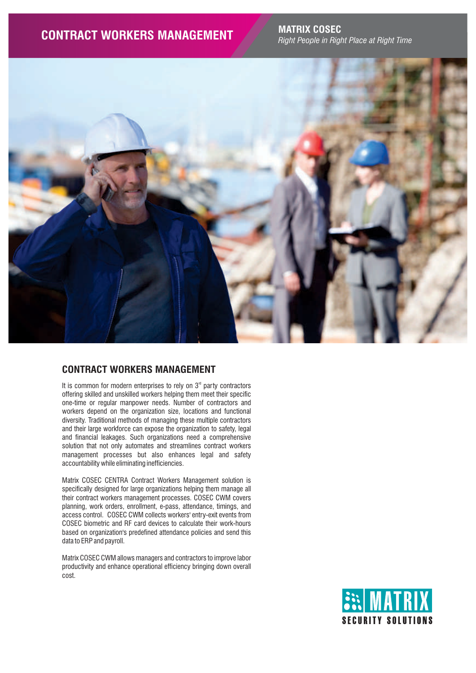*Right People in Right Place at Right Time*



# **CONTRACT WORKERS MANAGEMENT**

It is common for modern enterprises to rely on  $3<sup>rd</sup>$  party contractors offering skilled and unskilled workers helping them meet their specific one-time or regular manpower needs. Number of contractors and workers depend on the organization size, locations and functional diversity. Traditional methods of managing these multiple contractors and their large workforce can expose the organization to safety, legal and financial leakages. Such organizations need a comprehensive solution that not only automates and streamlines contract workers management processes but also enhances legal and safety accountability while eliminating inefficiencies.

Matrix COSEC CENTRA Contract Workers Management solution is specifically designed for large organizations helping them manage all their contract workers management processes. COSEC CWM covers planning, work orders, enrollment, e-pass, attendance, timings, and access control. COSEC CWM collects workers' entry-exit events from COSEC biometric and RF card devices to calculate their work-hours based on organization's predefined attendance policies and send this data to ERP and payroll.

Matrix COSEC CWM allows managers and contractors to improve labor productivity and enhance operational efficiency bringing down overall cost.

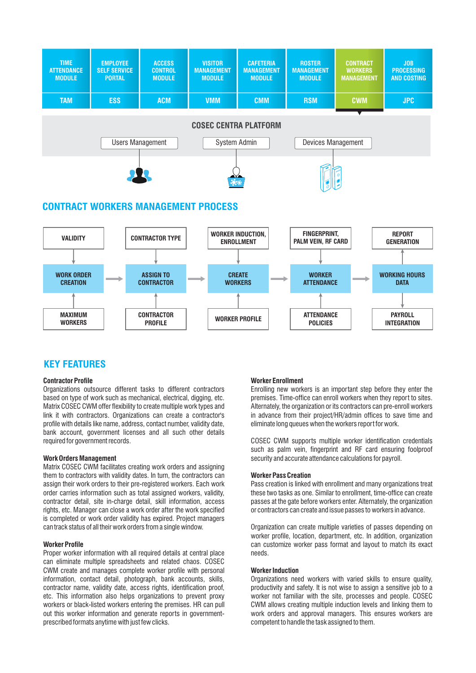

## **KEY FEATURES**

#### **Contractor Profile**

Organizations outsource different tasks to different contractors based on type of work such as mechanical, electrical, digging, etc. Matrix COSEC CWM offer flexibility to create multiple work types and link it with contractors. Organizations can create a contractor's profile with details like name, address, contact number, validity date, bank account, government licenses and all such other details required for government records.

#### **Work Orders Management**

Matrix COSEC CWM facilitates creating work orders and assigning them to contractors with validity dates. In turn, the contractors can assign their work orders to their pre-registered workers. Each work order carries information such as total assigned workers, validity, contractor detail, site in-charge detail, skill information, access rights, etc. Manager can close a work order after the work specified is completed or work order validity has expired. Project managers can track status of all their work orders from a single window.

#### **Worker Profile**

Proper worker information with all required details at central place can eliminate multiple spreadsheets and related chaos. COSEC CWM create and manages complete worker profile with personal information, contact detail, photograph, bank accounts, skills, contractor name, validity date, access rights, identification proof, etc. This information also helps organizations to prevent proxy workers or black-listed workers entering the premises. HR can pull out this worker information and generate reports in governmentprescribed formats anytime with just few clicks.

### **Worker Enrollment**

Enrolling new workers is an important step before they enter the premises. Time-office can enroll workers when they report to sites. Alternately, the organization or its contractors can pre-enroll workers in advance from their project/HR/admin offices to save time and eliminate long queues when the workers report for work.

COSEC CWM supports multiple worker identification credentials such as palm vein, fingerprint and RF card ensuring foolproof security and accurate attendance calculations for payroll.

#### **Worker Pass Creation**

Pass creation is linked with enrollment and many organizations treat these two tasks as one. Similar to enrollment, time-office can create passes at the gate before workers enter. Alternately, the organization or contractors can create and issue passes to workers in advance.

Organization can create multiple varieties of passes depending on worker profile, location, department, etc. In addition, organization can customize worker pass format and layout to match its exact needs.

#### **Worker Induction**

Organizations need workers with varied skills to ensure quality, productivity and safety. It is not wise to assign a sensitive job to a worker not familiar with the site, processes and people. COSEC CWM allows creating multiple induction levels and linking them to work orders and approval managers. This ensures workers are competent to handle the task assigned to them.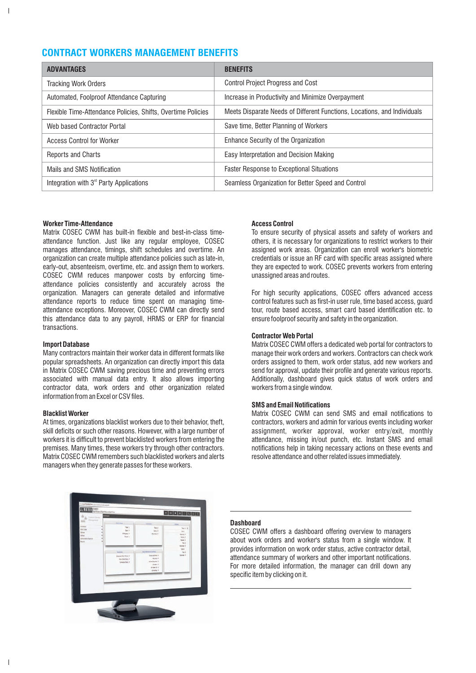# **CONTRACT WORKERS MANAGEMENT BENEFITS**

| <b>ADVANTAGES</b>                                            | <b>BENEFITS</b>                                                          |
|--------------------------------------------------------------|--------------------------------------------------------------------------|
| <b>Tracking Work Orders</b>                                  | <b>Control Project Progress and Cost</b>                                 |
| Automated, Foolproof Attendance Capturing                    | Increase in Productivity and Minimize Overpayment                        |
| Flexible Time-Attendance Policies, Shifts, Overtime Policies | Meets Disparate Needs of Different Functions, Locations, and Individuals |
| Web based Contractor Portal                                  | Save time, Better Planning of Workers                                    |
| <b>Access Control for Worker</b>                             | Enhance Security of the Organization                                     |
| <b>Reports and Charts</b>                                    | Easy Interpretation and Decision Making                                  |
| Mails and SMS Notification                                   | <b>Faster Response to Exceptional Situations</b>                         |
| Integration with 3 <sup>rd</sup> Party Applications          | Seamless Organization for Better Speed and Control                       |

### **Worker Time-Attendance**

 $\overline{\phantom{a}}$ 

Matrix COSEC CWM has built-in flexible and best-in-class timeattendance function. Just like any regular employee, COSEC manages attendance, timings, shift schedules and overtime. An organization can create multiple attendance policies such as late-in, early-out, absenteeism, overtime, etc. and assign them to workers. COSEC CWM reduces manpower costs by enforcing timeattendance policies consistently and accurately across the organization. Managers can generate detailed and informative attendance reports to reduce time spent on managing timeattendance exceptions. Moreover, COSEC CWM can directly send this attendance data to any payroll, HRMS or ERP for financial transactions.

#### **Import Database**

Many contractors maintain their worker data in different formats like popular spreadsheets. An organization can directly import this data in Matrix COSEC CWM saving precious time and preventing errors associated with manual data entry. It also allows importing contractor data, work orders and other organization related information from an Excel or CSV files.

#### **Blacklist Worker**

At times, organizations blacklist workers due to their behavior, theft, skill deficits or such other reasons. However, with a large number of workers it is difficult to prevent blacklisted workers from entering the premises. Many times, these workers try through other contractors. Matrix COSEC CWM remembers such blacklisted workers and alerts managers when they generate passes for these workers.

#### **Access Control**

To ensure security of physical assets and safety of workers and others, it is necessary for organizations to restrict workers to their assigned work areas. Organization can enroll worker's biometric credentials or issue an RF card with specific areas assigned where they are expected to work. COSEC prevents workers from entering unassigned areas and routes.

For high security applications, COSEC offers advanced access control features such as first-in user rule, time based access, guard tour, route based access, smart card based identification etc. to ensure foolproof security and safety in the organization.

#### **Contractor Web Portal**

Matrix COSEC CWM offers a dedicated web portal for contractors to manage their work orders and workers. Contractors can check work orders assigned to them, work order status, add new workers and send for approval, update their profile and generate various reports. Additionally, dashboard gives quick status of work orders and workers from a single window.

#### **SMS and Email Notifications**

Matrix COSEC CWM can send SMS and email notifications to contractors, workers and admin for various events including worker assignment, worker approval, worker entry/exit, monthly attendance, missing in/out punch, etc. Instant SMS and email notifications help in taking necessary actions on these events and resolve attendance and other related issues immediately.



### **Dashboard**

COSEC CWM offers a dashboard offering overview to managers about work orders and worker's status from a single window. It provides information on work order status, active contractor detail, attendance summary of workers and other important notifications. For more detailed information, the manager can drill down any specific item by clicking on it.